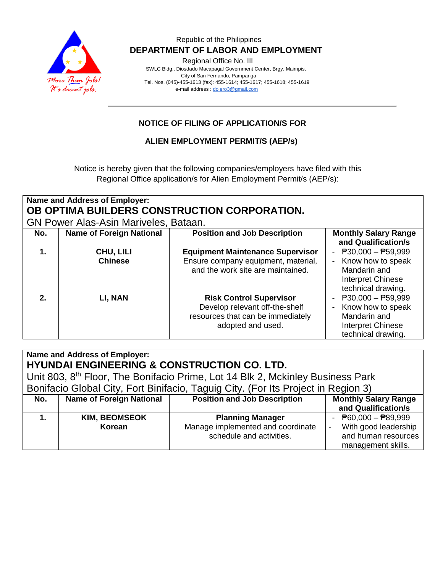

#### Republic of the Philippines  **DEPARTMENT OF LABOR AND EMPLOYMENT**

Regional Office No. III

 SWLC Bldg., Diosdado Macapagal Government Center, Brgy. Maimpis, City of San Fernando, Pampanga Tel. Nos. (045)-455-1613 (fax): 455-1614; 455-1617; 455-1618; 455-1619 e-mail address [: dolero3@gmail.com](mailto:dolero3@gmail.com)

## **NOTICE OF FILING OF APPLICATION/S FOR**

### **ALIEN EMPLOYMENT PERMIT/S (AEP/s)**

Notice is hereby given that the following companies/employers have filed with this Regional Office application/s for Alien Employment Permit/s (AEP/s):

| Name and Address of Employer:<br>OB OPTIMA BUILDERS CONSTRUCTION CORPORATION.<br><b>GN Power Alas-Asin Mariveles, Bataan.</b> |                                 |                                                                                                                            |                                                                                                                           |  |  |  |
|-------------------------------------------------------------------------------------------------------------------------------|---------------------------------|----------------------------------------------------------------------------------------------------------------------------|---------------------------------------------------------------------------------------------------------------------------|--|--|--|
| No.                                                                                                                           | <b>Name of Foreign National</b> | <b>Position and Job Description</b>                                                                                        | <b>Monthly Salary Range</b><br>and Qualification/s                                                                        |  |  |  |
| 1.                                                                                                                            | CHU, LILI<br><b>Chinese</b>     | <b>Equipment Maintenance Supervisor</b><br>Ensure company equipment, material,<br>and the work site are maintained.        | $P30,000 - P59,999$<br>Know how to speak<br>Mandarin and<br><b>Interpret Chinese</b><br>technical drawing.                |  |  |  |
| 2.                                                                                                                            | LI, NAN                         | <b>Risk Control Supervisor</b><br>Develop relevant off-the-shelf<br>resources that can be immediately<br>adopted and used. | $\overline{P}30,000 - \overline{P}59,999$<br>Know how to speak<br>Mandarin and<br>Interpret Chinese<br>technical drawing. |  |  |  |

| Name and Address of Employer:<br><b>HYUNDAI ENGINEERING &amp; CONSTRUCTION CO. LTD.</b><br>Unit 803, 8 <sup>th</sup> Floor, The Bonifacio Prime, Lot 14 Blk 2, Mckinley Business Park<br>Bonifacio Global City, Fort Binifacio, Taguig City. (For Its Project in Region 3) |                                 |                                                                                          |                                                                                                                                              |  |  |  |
|----------------------------------------------------------------------------------------------------------------------------------------------------------------------------------------------------------------------------------------------------------------------------|---------------------------------|------------------------------------------------------------------------------------------|----------------------------------------------------------------------------------------------------------------------------------------------|--|--|--|
| No.                                                                                                                                                                                                                                                                        | <b>Name of Foreign National</b> | <b>Position and Job Description</b>                                                      | <b>Monthly Salary Range</b><br>and Qualification/s                                                                                           |  |  |  |
| 1.                                                                                                                                                                                                                                                                         | <b>KIM, BEOMSEOK</b><br>Korean  | <b>Planning Manager</b><br>Manage implemented and coordinate<br>schedule and activities. | - $\overline{P}60,000 - \overline{P}89,999$<br>With good leadership<br>$\overline{\phantom{a}}$<br>and human resources<br>management skills. |  |  |  |